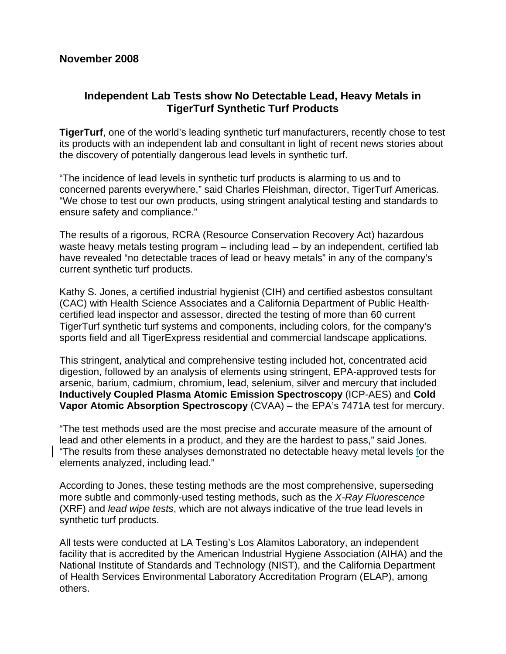## **Independent Lab Tests show No Detectable Lead, Heavy Metals in TigerTurf Synthetic Turf Products**

**TigerTurf**, one of the world's leading synthetic turf manufacturers, recently chose to test its products with an independent lab and consultant in light of recent news stories about the discovery of potentially dangerous lead levels in synthetic turf.

"The incidence of lead levels in synthetic turf products is alarming to us and to concerned parents everywhere," said Charles Fleishman, director, TigerTurf Americas. "We chose to test our own products, using stringent analytical testing and standards to ensure safety and compliance."

The results of a rigorous, RCRA (Resource Conservation Recovery Act) hazardous waste heavy metals testing program – including lead – by an independent, certified lab have revealed "no detectable traces of lead or heavy metals" in any of the company's current synthetic turf products.

Kathy S. Jones, a certified industrial hygienist (CIH) and certified asbestos consultant (CAC) with Health Science Associates and a California Department of Public Healthcertified lead inspector and assessor, directed the testing of more than 60 current TigerTurf synthetic turf systems and components, including colors, for the company's sports field and all TigerExpress residential and commercial landscape applications.

This stringent, analytical and comprehensive testing included hot, concentrated acid digestion, followed by an analysis of elements using stringent, EPA-approved tests for arsenic, barium, cadmium, chromium, lead, selenium, silver and mercury that included **Inductively Coupled Plasma Atomic Emission Spectroscopy** (ICP-AES) and **Cold Vapor Atomic Absorption Spectroscopy** (CVAA) – the EPA's 7471A test for mercury.

"The test methods used are the most precise and accurate measure of the amount of lead and other elements in a product, and they are the hardest to pass," said Jones. "The results from these analyses demonstrated no detectable heavy metal levels for the elements analyzed, including lead."

According to Jones, these testing methods are the most comprehensive, superseding more subtle and commonly-used testing methods, such as the *X-Ray Fluorescence* (XRF) and *lead wipe tests*, which are not always indicative of the true lead levels in synthetic turf products.

All tests were conducted at LA Testing's Los Alamitos Laboratory, an independent facility that is accredited by the American Industrial Hygiene Association (AIHA) and the National Institute of Standards and Technology (NIST), and the California Department of Health Services Environmental Laboratory Accreditation Program (ELAP), among others.